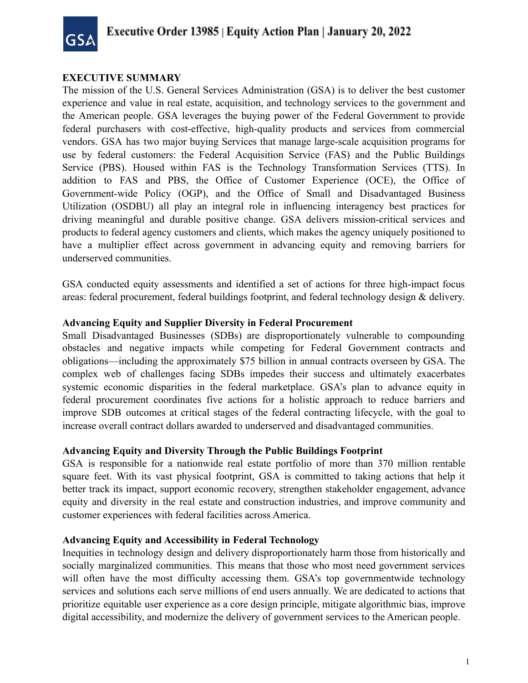

#### **EXECUTIVE SUMMARY**

The mission of the U.S. General Services Administration (GSA) is to deliver the best customer experience and value in real estate, acquisition, and technology services to the government and the American people. GSA leverages the buying power of the Federal Government to provide federal purchasers with cost-effective, high-quality products and services from commercial vendors. GSA has two major buying Services that manage large-scale acquisition programs for use by federal customers: the Federal Acquisition Service (FAS) and the Public Buildings Service (PBS). Housed within FAS is the Technology Transformation Services (TTS). In addition to FAS and PBS, the Office of Customer Experience (OCE), the Office of Government-wide Policy (OGP), and the Office of Small and Disadvantaged Business Utilization (OSDBU) all play an integral role in influencing interagency best practices for driving meaningful and durable positive change. GSA delivers mission-critical services and products to federal agency customers and clients, which makes the agency uniquely positioned to have a multiplier effect across government in advancing equity and removing barriers for underserved communities.

GSA conducted equity assessments and identified a set of actions for three high-impact focus areas: federal procurement, federal buildings footprint, and federal technology design & delivery.

#### **Advancing Equity and Supplier Diversity in Federal Procurement**

Small Disadvantaged Businesses (SDBs) are disproportionately vulnerable to compounding obstacles and negative impacts while competing for Federal Government contracts and obligations—including the approximately \$75 billion in annual contracts overseen by GSA. The complex web of challenges facing SDBs impedes their success and ultimately exacerbates systemic economic disparities in the federal marketplace. GSA's plan to advance equity in federal procurement coordinates five actions for a holistic approach to reduce barriers and improve SDB outcomes at critical stages of the federal contracting lifecycle, with the goal to increase overall contract dollars awarded to underserved and disadvantaged communities.

#### **Advancing Equity and Diversity Through the Public Buildings Footprint**

GSA is responsible for a nationwide real estate portfolio of more than 370 million rentable square feet. With its vast physical footprint, GSA is committed to taking actions that help it better track its impact, support economic recovery, strengthen stakeholder engagement, advance equity and diversity in the real estate and construction industries, and improve community and customer experiences with federal facilities across America.

#### **Advancing Equity and Accessibility in Federal Technology**

Inequities in technology design and delivery disproportionately harm those from historically and socially marginalized communities. This means that those who most need government services will often have the most difficulty accessing them. GSA's top governmentwide technology services and solutions each serve millions of end users annually. We are dedicated to actions that prioritize equitable user experience as a core design principle, mitigate algorithmic bias, improve digital accessibility, and modernize the delivery of government services to the American people.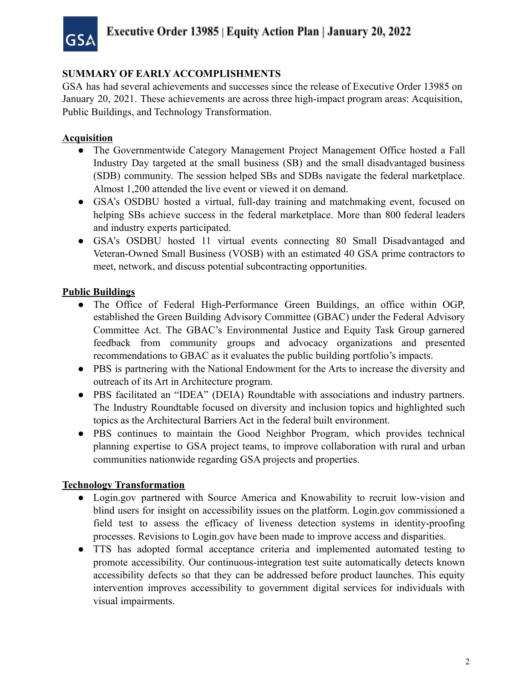

## **SUMMARY OF EARLY ACCOMPLISHMENTS**

GSA has had several achievements and successes since the release of Executive Order 13985 on January 20, 2021. These achievements are across three high-impact program areas: Acquisition, Public Buildings, and Technology Transformation.

### **Acquisition**

- The Governmentwide Category Management Project Management Office hosted a Fall Industry Day targeted at the small business (SB) and the small disadvantaged business (SDB) community. The session helped SBs and SDBs navigate the federal marketplace. Almost 1,200 attended the live event or viewed it on demand.
- GSA's OSDBU hosted a virtual, full-day training and matchmaking event, focused on helping SBs achieve success in the federal marketplace. More than 800 federal leaders and industry experts participated.
- GSA's OSDBU hosted 11 virtual events connecting 80 Small Disadvantaged and Veteran-Owned Small Business (VOSB) with an estimated 40 GSA prime contractors to meet, network, and discuss potential subcontracting opportunities.

### **Public Buildings**

- The Office of Federal High-Performance Green Buildings, an office within OGP, established the Green Building Advisory Committee (GBAC) under the Federal Advisory Committee Act. The GBAC's Environmental Justice and Equity Task Group garnered feedback from community groups and advocacy organizations and presented recommendations to GBAC as it evaluates the public building portfolio's impacts.
- PBS is partnering with the National Endowment for the Arts to increase the diversity and outreach of its Art in Architecture program.
- PBS facilitated an "IDEA" (DEIA) Roundtable with associations and industry partners. The Industry Roundtable focused on diversity and inclusion topics and highlighted such topics as the Architectural Barriers Act in the federal built environment.
- PBS continues to maintain the Good Neighbor Program, which provides technical planning expertise to GSA project teams, to improve collaboration with rural and urban communities nationwide regarding GSA projects and properties.

#### **Technology Transformation**

- [Login.gov](https://Login.gov) partnered with Source America and Knowability to recruit low-vision and blind users for insight on accessibility issues on the platform. [Login.gov](https://Login.gov) commissioned a field test to assess the efficacy of liveness detection systems in identity-proofing processes. Revisions to [Login.gov](https://Login.gov) have been made to improve access and disparities.
- TTS has adopted formal acceptance criteria and implemented automated testing to promote accessibility. Our continuous-integration test suite automatically detects known accessibility defects so that they can be addressed before product launches. This equity intervention improves accessibility to government digital services for individuals with visual impairments.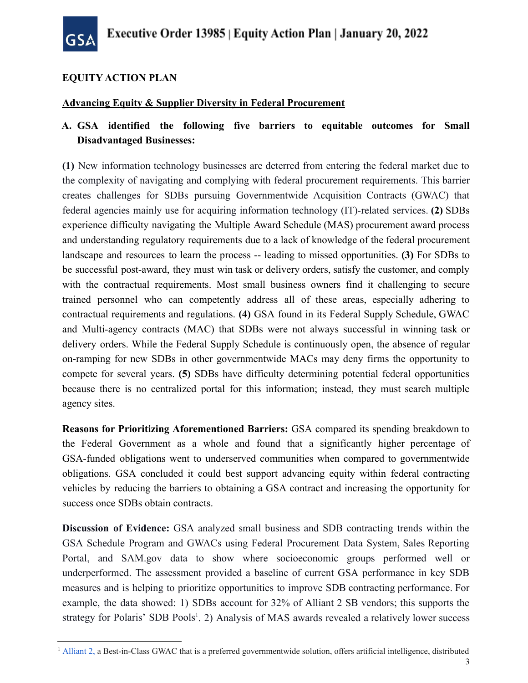

## **EQUITY ACTION PLAN**

### **Advancing Equity & Supplier Diversity in Federal Procurement**

# **A. GSA identified the following five barriers to equitable outcomes for Small Disadvantaged Businesses:**

**(1)** New information technology businesses are deterred from entering the federal market due to the complexity of navigating and complying with federal procurement requirements. This barrier creates challenges for SDBs pursuing Governmentwide Acquisition Contracts (GWAC) that federal agencies mainly use for acquiring information technology (IT)-related services. **(2)** SDBs experience difficulty navigating the Multiple Award Schedule (MAS) procurement award process and understanding regulatory requirements due to a lack of knowledge of the federal procurement landscape and resources to learn the process -- leading to missed opportunities. **(3)** For SDBs to be successful post-award, they must win task or delivery orders, satisfy the customer, and comply with the contractual requirements. Most small business owners find it challenging to secure trained personnel who can competently address all of these areas, especially adhering to contractual requirements and regulations. **(4)** GSA found in its Federal Supply Schedule, GWAC and Multi-agency contracts (MAC) that SDBs were not always successful in winning task or delivery orders. While the Federal Supply Schedule is continuously open, the absence of regular on-ramping for new SDBs in other governmentwide MACs may deny firms the opportunity to compete for several years. **(5)** SDBs have difficulty determining potential federal opportunities because there is no centralized portal for this information; instead, they must search multiple agency sites.

**Reasons for Prioritizing Aforementioned Barriers:** GSA compared its spending breakdown to the Federal Government as a whole and found that a significantly higher percentage of GSA-funded obligations went to underserved communities when compared to governmentwide obligations. GSA concluded it could best support advancing equity within federal contracting vehicles by reducing the barriers to obtaining a GSA contract and increasing the opportunity for success once SDBs obtain contracts.

**Discussion of Evidence:** GSA analyzed small business and SDB contracting trends within the GSA Schedule Program and GWACs using Federal Procurement Data System, Sales Reporting Portal, and SAM[.gov](http://sam.gov/) data to show where socioeconomic groups performed well or underperformed. The assessment provided a baseline of current GSA performance in key SDB measures and is helping to prioritize opportunities to improve SDB contracting performance. For example, the data showed: 1) SDBs account for 32% of Alliant 2 SB vendors; this supports the strategy for Polaris' SDB Pools<sup>1</sup>. 2) Analysis of MAS awards revealed a relatively lower success

<sup>&</sup>lt;sup>1</sup> [Alliant](https://www.gsa.gov/technology/technology-purchasing-programs/governmentwide-acquisition-contracts/alliant-2-governmentwide-acquisition-contract-gwac) 2, a Best-in-Class GWAC that is a preferred governmentwide solution, offers artificial intelligence, distributed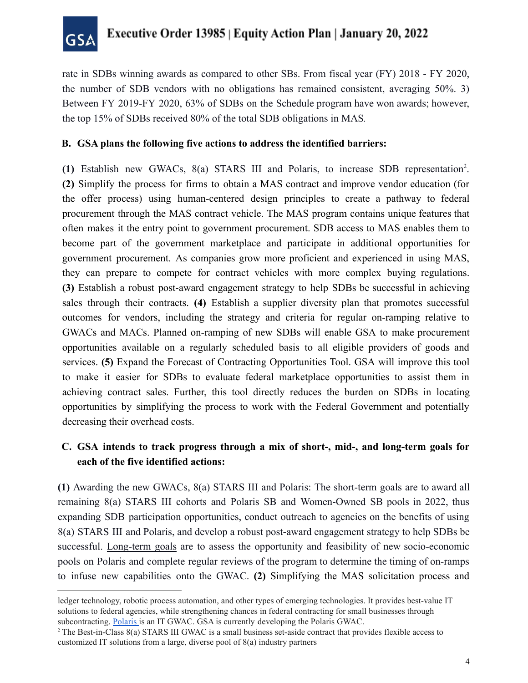

rate in SDBs winning awards as compared to other SBs. From fiscal year (FY) 2018 - FY 2020, the number of SDB vendors with no obligations has remained consistent, averaging 50%. 3) Between FY 2019-FY 2020, 63% of SDBs on the Schedule program have won awards; however, the top 15% of SDBs received 80% of the total SDB obligations in MAS*.*

#### **B. GSA plans the following five actions to address the identified barriers:**

**(1)** Establish new GWACs, 8(a) STARS III and Polaris, to increase SDB representation2 . **(2)** Simplify the process for firms to obtain a MAS contract and improve vendor education (for the offer process) using human-centered design principles to create a pathway to federal procurement through the MAS contract vehicle. The MAS program contains unique features that often makes it the entry point to government procurement. SDB access to MAS enables them to become part of the government marketplace and participate in additional opportunities for government procurement. As companies grow more proficient and experienced in using MAS, they can prepare to compete for contract vehicles with more complex buying regulations. **(3)** Establish a robust post-award engagement strategy to help SDBs be successful in achieving sales through their contracts. **(4)** Establish a supplier diversity plan that promotes successful outcomes for vendors, including the strategy and criteria for regular on-ramping relative to GWACs and MACs. Planned on-ramping of new SDBs will enable GSA to make procurement opportunities available on a regularly scheduled basis to all eligible providers of goods and services. **(5)** Expand the Forecast of Contracting Opportunities Tool. GSA will improve this tool to make it easier for SDBs to evaluate federal marketplace opportunities to assist them in achieving contract sales. Further, this tool directly reduces the burden on SDBs in locating opportunities by simplifying the process to work with the Federal Government and potentially decreasing their overhead costs.

## **C. GSA intends to track progress through a mix of short-, mid-, and long-term goals for each of the five identified actions:**

**(1)** Awarding the new GWACs, 8(a) STARS III and Polaris: The short-term goals are to award all remaining 8(a) STARS III cohorts and Polaris SB and Women-Owned SB pools in 2022, thus expanding SDB participation opportunities, conduct outreach to agencies on the benefits of using 8(a) STARS III and Polaris, and develop a robust post-award engagement strategy to help SDBs be successful. Long-term goals are to assess the opportunity and feasibility of new socio-economic pools on Polaris and complete regular reviews of the program to determine the timing of on-ramps to infuse new capabilities onto the GWAC. **(2)** Simplifying the MAS solicitation process and

 ledger technology, robotic process automation, and other types of emerging technologies. It provides best-value IT solutions to federal agencies, while strengthening chances in federal contracting for small businesses through subcontracting. [Polaris](https://www.gsa.gov/technology/technology-purchasing-programs/governmentwide-acquisition-contracts/polaris) is an IT GWAC. GSA is currently developing the Polaris GWAC.

<sup>&</sup>lt;sup>2</sup> The [Best-in-Class](https://www.gsa.gov/about-us/newsroom/news-releases/gsa-8a-stars-iii-contract-gets-new-designation-07212021) 8(a) [STARS](https://www.gsa.gov/technology/technology-purchasing-programs/governmentwide-acquisition-contracts/8a-stars-iii) III GWAC is a small business set-aside contract that provides flexible access to customized IT solutions from a large, diverse pool of 8(a) industry partners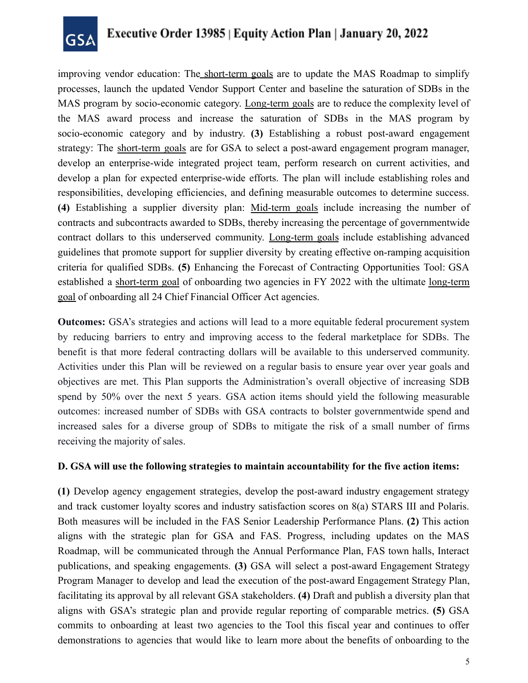

improving vendor education: The short-term goals are to update the MAS Roadmap to simplify processes, launch the updated Vendor Support Center and baseline the saturation of SDBs in the MAS program by socio-economic category. Long-term goals are to reduce the complexity level of the MAS award process and increase the saturation of SDBs in the MAS program by socio-economic category and by industry. **(3)** Establishing a robust post-award engagement strategy: The short-term goals are for GSA to select a post-award engagement program manager, develop an enterprise-wide integrated project team, perform research on current activities, and develop a plan for expected enterprise-wide efforts. The plan will include establishing roles and responsibilities, developing efficiencies, and defining measurable outcomes to determine success. **(4)** Establishing a supplier diversity plan: Mid-term goals include increasing the number of contracts and subcontracts awarded to SDBs, thereby increasing the percentage of governmentwide contract dollars to this underserved community. Long-term goals include establishing advanced guidelines that promote support for supplier diversity by creating effective on-ramping acquisition criteria for qualified SDBs. **(5)** Enhancing the Forecast of Contracting Opportunities Tool: GSA established a short-term goal of onboarding two agencies in FY 2022 with the ultimate long-term goal of onboarding all 24 Chief Financial Officer Act agencies.

**Outcomes:** GSA's strategies and actions will lead to a more equitable federal procurement system by reducing barriers to entry and improving access to the federal marketplace for SDBs. The benefit is that more federal contracting dollars will be available to this underserved community. Activities under this Plan will be reviewed on a regular basis to ensure year over year goals and objectives are met. This Plan supports the Administration's overall objective of increasing SDB spend by 50% over the next 5 years. GSA action items should yield the following measurable outcomes: increased number of SDBs with GSA contracts to bolster governmentwide spend and increased sales for a diverse group of SDBs to mitigate the risk of a small number of firms receiving the majority of sales.

#### **D. GSA will use the following strategies to maintain accountability for the five action items:**

**(1)** Develop agency engagement strategies, develop the post-award industry engagement strategy and track customer loyalty scores and industry satisfaction scores on 8(a) STARS III and Polaris. Both measures will be included in the FAS Senior Leadership Performance Plans. **(2)** This action aligns with the strategic plan for GSA and FAS. Progress, including updates on the MAS Roadmap, will be communicated through the Annual Performance Plan, FAS town halls, Interact publications, and speaking engagements. **(3)** GSA will select a post-award Engagement Strategy Program Manager to develop and lead the execution of the post-award Engagement Strategy Plan, facilitating its approval by all relevant GSA stakeholders. **(4)** Draft and publish a diversity plan that aligns with GSA's strategic plan and provide regular reporting of comparable metrics. **(5)** GSA commits to onboarding at least two agencies to the Tool this fiscal year and continues to offer demonstrations to agencies that would like to learn more about the benefits of onboarding to the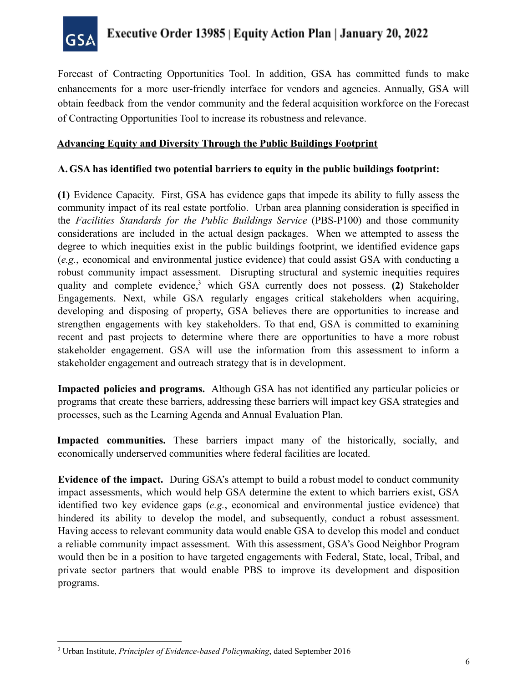

Forecast of Contracting Opportunities Tool. In addition, GSA has committed funds to make enhancements for a more user-friendly interface for vendors and agencies. Annually, GSA will obtain feedback from the vendor community and the federal acquisition workforce on the Forecast of Contracting Opportunities Tool to increase its robustness and relevance.

#### **Advancing Equity and Diversity Through the Public Buildings Footprint**

#### **A.GSA has identified two potential barriers to equity in the public buildings footprint:**

**(1)** Evidence Capacity. First, GSA has evidence gaps that impede its ability to fully assess the community impact of its real estate portfolio. Urban area planning consideration is specified in the *Facilities Standards for the Public Buildings Service* ([PBS-P100\)](https://insite.gsa.gov/cdnstatic/P100%202021%20v1_0.pdf) and those community considerations are included in the actual design packages. When we attempted to assess the degree to which inequities exist in the public buildings footprint, we identified evidence gaps (*e.g.*, economical and environmental justice evidence) that could assist GSA with conducting a robust community impact assessment. Disrupting structural and systemic inequities requires quality and complete evidence,<sup>3</sup> which GSA currently does not possess. **(2)** Stakeholder Engagements. Next, while GSA regularly engages critical stakeholders when acquiring, developing and disposing of property, GSA believes there are opportunities to increase and strengthen engagements with key stakeholders. To that end, GSA is committed to examining recent and past projects to determine where there are opportunities to have a more robust stakeholder engagement. GSA will use the information from this assessment to inform a stakeholder engagement and outreach strategy that is in development.

**Impacted policies and programs.** Although GSA has not identified any particular policies or programs that create these barriers, addressing these barriers will impact key GSA strategies and processes, such as the Learning Agenda and Annual Evaluation Plan.

**Impacted communities.** These barriers impact many of the historically, socially, and economically underserved communities where federal facilities are located.

**Evidence of the impact.** During GSA's attempt to build a robust model to conduct community impact assessments, which would help GSA determine the extent to which barriers exist, GSA identified two key evidence gaps (*e.g.*, economical and environmental justice evidence) that hindered its ability to develop the model, and subsequently, conduct a robust assessment. Having access to relevant community data would enable GSA to develop this model and conduct a reliable community impact assessment. With this assessment, GSA's Good Neighbor Program would then be in a position to have targeted engagements with Federal, State, local, Tribal, and private sector partners that would enable PBS to improve its development and disposition programs.

 <sup>3</sup> Urban Institute, *Principles of Evidence-based Policymaking*, dated September 2016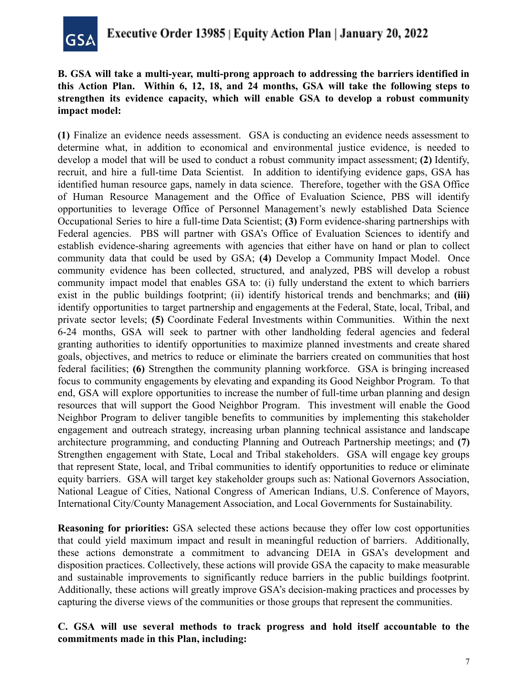

### **B. GSA will take a multi-year, multi-prong approach to addressing the barriers identified in this Action Plan. Within 6, 12, 18, and 24 months, GSA will take the following steps to strengthen its evidence capacity, which will enable GSA to develop a robust community impact model:**

**(1)** Finalize an evidence needs assessment. GSA is conducting an evidence needs assessment to determine what, in addition to economical and environmental justice evidence, is needed to develop a model that will be used to conduct a robust community impact assessment; **(2)** Identify, recruit, and hire a full-time Data Scientist. In addition to identifying evidence gaps, GSA has identified human resource gaps, namely in data science. Therefore, together with the GSA Office of Human Resource Management and the Office of Evaluation Science, PBS will identify opportunities to leverage Office of Personnel Management's newly established Data Science Occupational Series to hire a full-time Data Scientist; **(3)** Form evidence-sharing partnerships with Federal agencies. PBS will partner with GSA's Office of Evaluation Sciences to identify and establish evidence-sharing agreements with agencies that either have on hand or plan to collect community data that could be used by GSA; **(4)** Develop a Community Impact Model. Once community evidence has been collected, structured, and analyzed, PBS will develop a robust community impact model that enables GSA to: (i) fully understand the extent to which barriers exist in the public buildings footprint; (ii) identify historical trends and benchmarks; and **(iii)** identify opportunities to target partnership and engagements at the Federal, State, local, Tribal, and private sector levels; **(5)** Coordinate Federal Investments within Communities. Within the next 6-24 months, GSA will seek to partner with other landholding federal agencies and federal granting authorities to identify opportunities to maximize planned investments and create shared goals, objectives, and metrics to reduce or eliminate the barriers created on communities that host federal facilities; **(6)** Strengthen the community planning workforce. GSA is bringing increased focus to community engagements by elevating and expanding its Good Neighbor Program. To that end, GSA will explore opportunities to increase the number of full-time urban planning and design resources that will support the Good Neighbor Program. This investment will enable the Good Neighbor Program to deliver tangible benefits to communities by implementing this stakeholder engagement and outreach strategy, increasing urban planning technical assistance and landscape architecture programming, and conducting Planning and Outreach Partnership meetings; and **(7)** Strengthen engagement with State, Local and Tribal stakeholders. GSA will engage key groups that represent State, local, and Tribal communities to identify opportunities to reduce or eliminate equity barriers. GSA will target key stakeholder groups such as: National Governors Association, National League of Cities, National Congress of American Indians, U.S. Conference of Mayors, International City/County Management Association, and Local Governments for Sustainability.

**Reasoning for priorities:** GSA selected these actions because they offer low cost opportunities that could yield maximum impact and result in meaningful reduction of barriers. Additionally, these actions demonstrate a commitment to advancing DEIA in GSA's development and disposition practices. Collectively, these actions will provide GSA the capacity to make measurable and sustainable improvements to significantly reduce barriers in the public buildings footprint. Additionally, these actions will greatly improve GSA's decision-making practices and processes by capturing the diverse views of the communities or those groups that represent the communities.

#### **C. GSA will use several methods to track progress and hold itself accountable to the commitments made in this Plan, including:**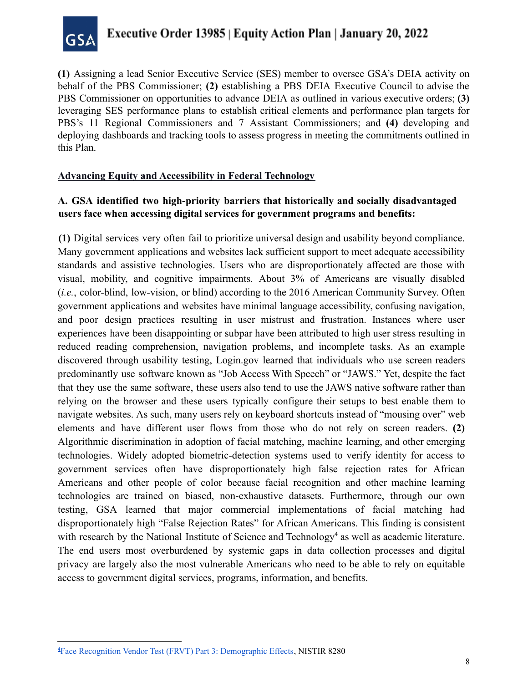

**(1)** Assigning a lead Senior Executive Service (SES) member to oversee GSA's DEIA activity on behalf of the PBS Commissioner; **(2)** establishing a PBS DEIA Executive Council to advise the PBS Commissioner on opportunities to advance DEIA as outlined in various executive orders; **(3)** leveraging SES performance plans to establish critical elements and performance plan targets for PBS's 11 Regional Commissioners and 7 Assistant Commissioners; and **(4)** developing and deploying dashboards and tracking tools to assess progress in meeting the commitments outlined in this Plan.

#### **Advancing Equity and Accessibility in Federal Technology**

### **A. GSA identified two high-priority barriers that historically and socially disadvantaged users face when accessing digital services for government programs and benefits:**

**(1)** Digital services very often fail to prioritize universal design and usability beyond compliance. Many government applications and websites lack sufficient support to meet adequate accessibility standards and assistive technologies. Users who are disproportionately affected are those with visual, mobility, and cognitive impairments. About 3% of Americans are visually disabled (*i.e.*, color-blind, low-vision, or blind) according to the 2016 American Community Survey. Often government applications and websites have minimal language accessibility, confusing navigation, and poor design practices resulting in user mistrust and frustration. Instances where user experiences have been disappointing or subpar have been attributed to high user stress resulting in reduced reading comprehension, navigation problems, and incomplete tasks. As an example discovered through usability testing, [Login.gov](https://Login.gov) learned that individuals who use screen readers predominantly use software known as "Job Access With Speech" or "JAWS." Yet, despite the fact that they use the same software, these users also tend to use the JAWS native software rather than relying on the browser and these users typically configure their setups to best enable them to navigate websites. As such, many users rely on keyboard shortcuts instead of "mousing over" web elements and have different user flows from those who do not rely on screen readers. **(2)** Algorithmic discrimination in adoption of facial matching, machine learning, and other emerging technologies. Widely adopted biometric-detection systems used to verify identity for access to government services often have disproportionately high false rejection rates for African Americans and other people of color because facial recognition and other machine learning technologies are trained on biased, non-exhaustive datasets. Furthermore, through our own testing, GSA learned that major commercial implementations of facial matching had disproportionately high "False Rejection Rates" for African Americans. This finding is consistent with research by the National Institute of Science and Technology<sup>4</sup> as well as academic literature. The end users most overburdened by systemic gaps in data collection processes and digital privacy are largely also the most vulnerable Americans who need to be able to rely on equitable access to government digital services, programs, information, and benefits.

<sup>&</sup>lt;sup>4</sup> Face Recognition Vendor Test (FRVT) Part 3: [Demographic](https://nvlpubs.nist.gov/nistpubs/ir/2019/NIST.IR.8280.pdf) Effects, NISTIR 8280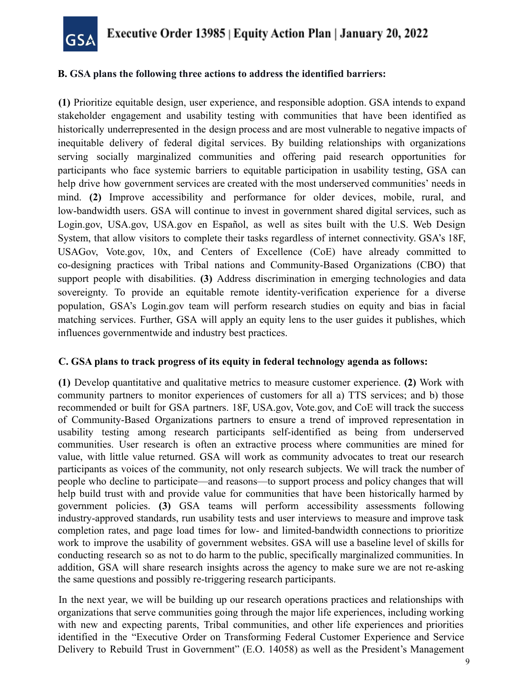

#### **B. GSA plans the following three actions to address the identified barriers:**

**(1)** Prioritize equitable design, user experience, and responsible adoption. GSA intends to expand stakeholder engagement and usability testing with communities that have been identified as historically underrepresented in the design process and are most vulnerable to negative impacts of inequitable delivery of federal digital services. By building relationships with organizations serving socially marginalized communities and offering paid research opportunities for participants who face systemic barriers to equitable participation in usability testing, GSA can help drive how government services are created with the most underserved communities' needs in mind. **(2)** Improve accessibility and performance for older devices, mobile, rural, and low-bandwidth users. GSA will continue to invest in government shared digital services, such as [Login.gov,](https://Login.gov) USA.gov, USA.gov en Español, as well as sites built with the U.S. Web Design System, that allow visitors to complete their tasks regardless of internet connectivity. GSA's 18F, USAGov, [Vote.gov,](https://Vote.gov) 10x, and Centers of Excellence (CoE) have already committed to co-designing practices with Tribal nations and Community-Based Organizations (CBO) that support people with disabilities. **(3)** Address discrimination in emerging technologies and data sovereignty. To provide an equitable remote identity-verification experience for a diverse population, GSA's [Login.gov](https://Login.gov) team will perform research studies on equity and bias in facial matching services. Further, GSA will apply an equity lens to the user guides it publishes, which influences governmentwide and industry best practices.

#### **C. GSA plans to track progress of its equity in federal technology agenda as follows:**

**(1)** Develop quantitative and qualitative metrics to measure customer experience. **(2)** Work with community partners to monitor experiences of customers for all a) TTS services; and b) those recommended or built for GSA partners. 18F, USA.gov, [Vote.gov,](https://Vote.gov) and CoE will track the success of Community-Based Organizations partners to ensure a trend of improved representation in usability testing among research participants self-identified as being from underserved communities. User research is often an extractive process where communities are mined for value, with little value returned. GSA will work as community advocates to treat our research participants as voices of the community, not only research subjects. We will track the number of people who decline to participate—and reasons—to support process and policy changes that will help build trust with and provide value for communities that have been historically harmed by government policies. **(3)** GSA teams will perform accessibility assessments following industry-approved standards, run usability tests and user interviews to measure and improve task completion rates, and page load times for low- and limited-bandwidth connections to prioritize work to improve the usability of government websites. GSA will use a baseline level of skills for conducting research so as not to do harm to the public, specifically marginalized communities. In addition, GSA will share research insights across the agency to make sure we are not re-asking the same questions and possibly re-triggering research participants.

In the next year, we will be building up our research operations practices and relationships with organizations that serve communities going through the major life experiences, including working with new and expecting parents, Tribal communities, and other life experiences and priorities identified in the "Executive Order on Transforming Federal Customer Experience and Service Delivery to Rebuild Trust in Government" (E.O. 14058) as well as the President's Management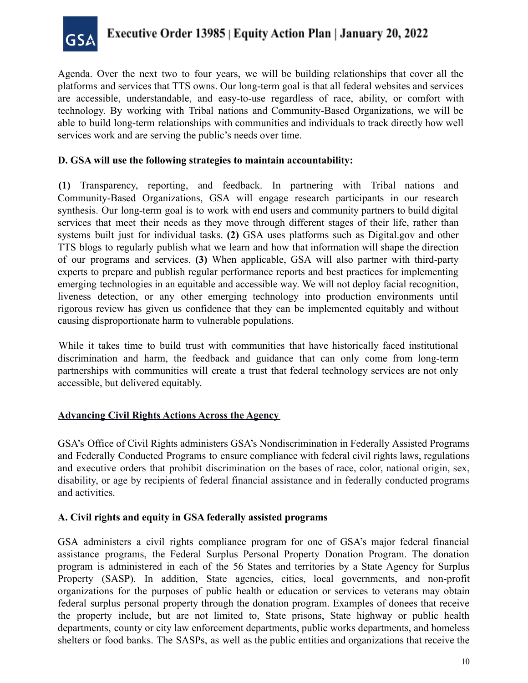

Agenda. Over the next two to four years, we will be building relationships that cover all the platforms and services that TTS owns. Our long-term goal is that all federal websites and services are accessible, understandable, and easy-to-use regardless of race, ability, or comfort with technology. By working with Tribal nations and Community-Based Organizations, we will be able to build long-term relationships with communities and individuals to track directly how well services work and are serving the public's needs over time.

### **D. GSA will use the following strategies to maintain accountability:**

**(1)** Transparency, reporting, and feedback. In partnering with Tribal nations and Community-Based Organizations, GSA will engage research participants in our research synthesis. Our long-term goal is to work with end users and community partners to build digital services that meet their needs as they move through different stages of their life, rather than systems built just for individual tasks. **(2)** GSA uses platforms such as [Digital.gov](https://Digital.gov) and other TTS blogs to regularly publish what we learn and how that information will shape the direction of our programs and services. **(3)** When applicable, GSA will also partner with third-party experts to prepare and publish regular performance reports and best practices for implementing emerging technologies in an equitable and accessible way. We will not deploy facial recognition, liveness detection, or any other emerging technology into production environments until rigorous review has given us confidence that they can be implemented equitably and without causing disproportionate harm to vulnerable populations.

While it takes time to build trust with communities that have historically faced institutional discrimination and harm, the feedback and guidance that can only come from long-term partnerships with communities will create a trust that federal technology services are not only accessible, but delivered equitably.

#### **Advancing Civil Rights Actions Across the Agency**

GSA's Office of Civil Rights administers GSA's Nondiscrimination in Federally Assisted Programs and Federally Conducted Programs to ensure compliance with federal civil rights laws, regulations and executive orders that prohibit discrimination on the bases of race, color, national origin, sex, disability, or age by recipients of federal financial assistance and in federally conducted programs and activities.

#### **A. Civil rights and equity in GSA federally assisted programs**

GSA administers a civil rights compliance program for one of GSA's major federal financial assistance programs, the Federal Surplus Personal Property Donation Program. The donation program is administered in each of the 56 States and territories by a State Agency for Surplus Property (SASP). In addition, State agencies, cities, local governments, and non-profit organizations for the purposes of public health or education or services to veterans may obtain federal surplus personal property through the donation program. Examples of donees that receive the property include, but are not limited to, State prisons, State highway or public health departments, county or city law enforcement departments, public works departments, and homeless shelters or food banks. The SASPs, as well as the public entities and organizations that receive the